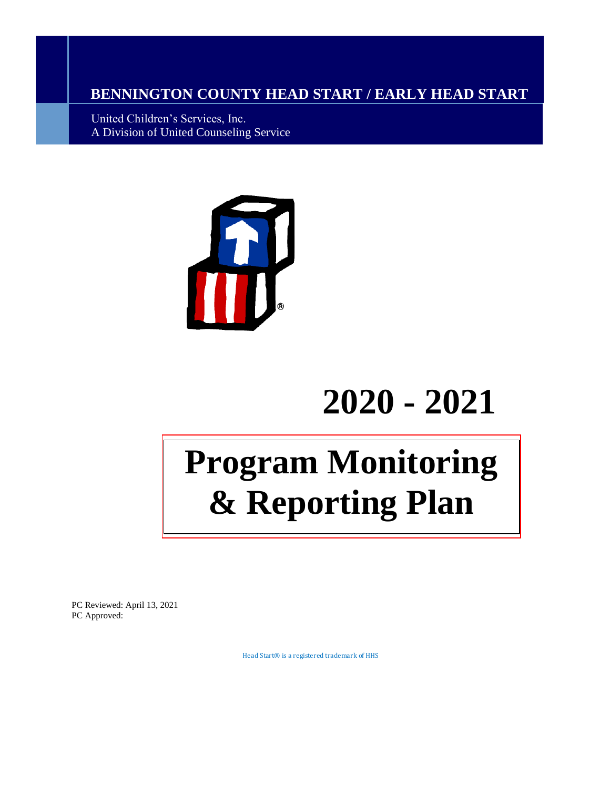## **BENNINGTON COUNTY HEAD START / EARLY HEAD START**

United Children's Services, Inc. A Division of United Counseling Service



## **2020 - 2021**

# **Program Monitoring & Reporting Plan**

PC Reviewed: April 13, 2021 PC Approved:

Head Start® is a registered trademark of HHS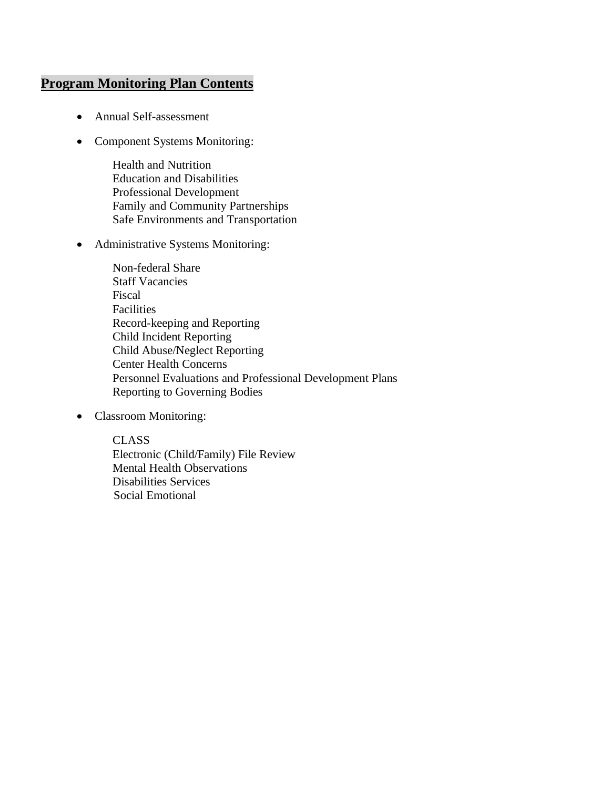### **Program Monitoring Plan Contents**

- Annual Self-assessment
- Component Systems Monitoring:

Health and Nutrition Education and Disabilities Professional Development Family and Community Partnerships Safe Environments and Transportation

• Administrative Systems Monitoring:

Non-federal Share Staff Vacancies Fiscal Facilities Record-keeping and Reporting Child Incident Reporting Child Abuse/Neglect Reporting Center Health Concerns Personnel Evaluations and Professional Development Plans Reporting to Governing Bodies

• Classroom Monitoring:

CLASS Electronic (Child/Family) File Review Mental Health Observations Disabilities Services Social Emotional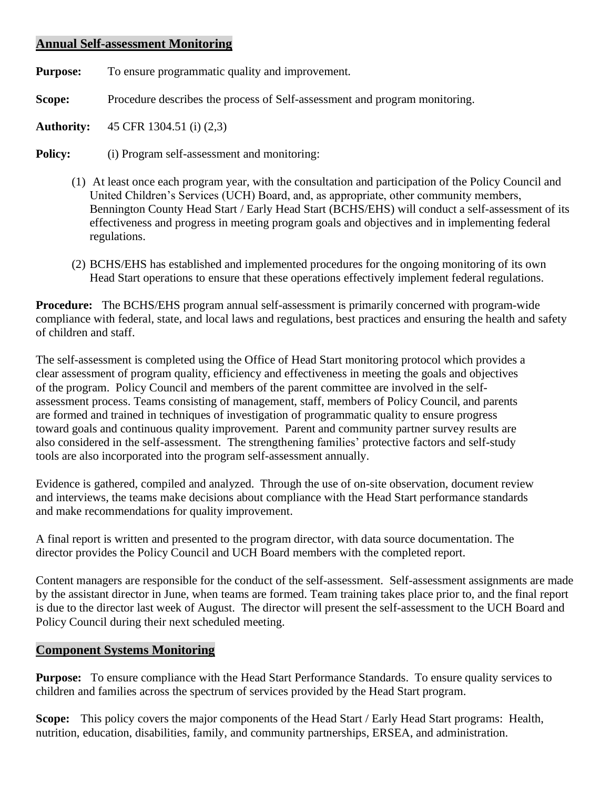#### **Annual Self-assessment Monitoring**

**Purpose:** To ensure programmatic quality and improvement.

**Scope:** Procedure describes the process of Self-assessment and program monitoring.

**Authority:** 45 CFR 1304.51 (i) (2,3)

**Policy:** (i) Program self-assessment and monitoring:

- (1) At least once each program year, with the consultation and participation of the Policy Council and United Children's Services (UCH) Board, and, as appropriate, other community members, Bennington County Head Start / Early Head Start (BCHS/EHS) will conduct a self-assessment of its effectiveness and progress in meeting program goals and objectives and in implementing federal regulations.
- (2) BCHS/EHS has established and implemented procedures for the ongoing monitoring of its own Head Start operations to ensure that these operations effectively implement federal regulations.

**Procedure:** The BCHS/EHS program annual self-assessment is primarily concerned with program-wide compliance with federal, state, and local laws and regulations, best practices and ensuring the health and safety of children and staff.

The self-assessment is completed using the Office of Head Start monitoring protocol which provides a clear assessment of program quality, efficiency and effectiveness in meeting the goals and objectives of the program. Policy Council and members of the parent committee are involved in the selfassessment process. Teams consisting of management, staff, members of Policy Council, and parents are formed and trained in techniques of investigation of programmatic quality to ensure progress toward goals and continuous quality improvement. Parent and community partner survey results are also considered in the self-assessment. The strengthening families' protective factors and self-study tools are also incorporated into the program self-assessment annually.

Evidence is gathered, compiled and analyzed. Through the use of on-site observation, document review and interviews, the teams make decisions about compliance with the Head Start performance standards and make recommendations for quality improvement.

A final report is written and presented to the program director, with data source documentation. The director provides the Policy Council and UCH Board members with the completed report.

Content managers are responsible for the conduct of the self-assessment. Self-assessment assignments are made by the assistant director in June, when teams are formed. Team training takes place prior to, and the final report is due to the director last week of August. The director will present the self-assessment to the UCH Board and Policy Council during their next scheduled meeting.

#### **Component Systems Monitoring**

**Purpose:** To ensure compliance with the Head Start Performance Standards. To ensure quality services to children and families across the spectrum of services provided by the Head Start program.

**Scope:** This policy covers the major components of the Head Start / Early Head Start programs: Health, nutrition, education, disabilities, family, and community partnerships, ERSEA, and administration.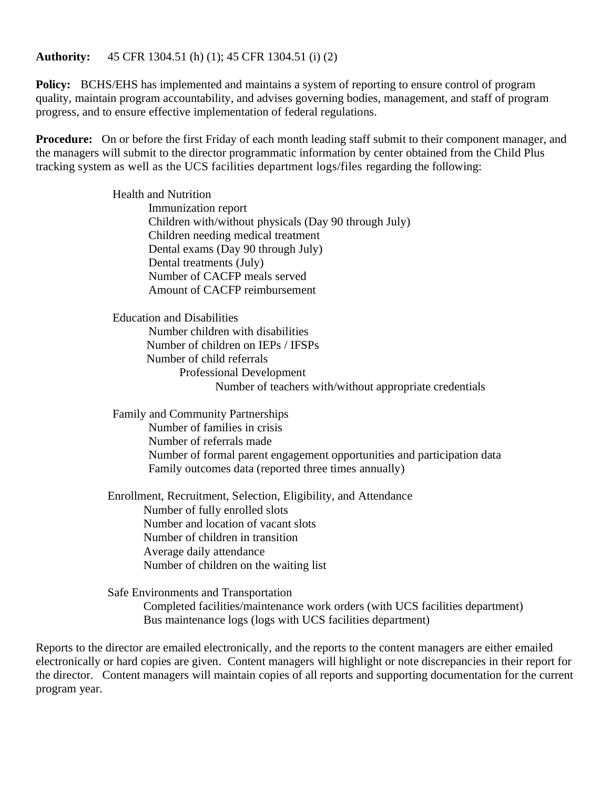#### **Authority:** 45 CFR 1304.51 (h) (1); 45 CFR 1304.51 (i) (2)

**Policy:** BCHS/EHS has implemented and maintains a system of reporting to ensure control of program quality, maintain program accountability, and advises governing bodies, management, and staff of program progress, and to ensure effective implementation of federal regulations.

**Procedure:** On or before the first Friday of each month leading staff submit to their component manager, and the managers will submit to the director programmatic information by center obtained from the Child Plus tracking system as well as the UCS facilities department logs/files regarding the following:

> Health and Nutrition Immunization report Children with/without physicals (Day 90 through July) Children needing medical treatment Dental exams (Day 90 through July) Dental treatments (July) Number of CACFP meals served Amount of CACFP reimbursement

Education and Disabilities Number children with disabilities Number of children on IEPs / IFSPs Number of child referrals Professional Development Number of teachers with/without appropriate credentials

Family and Community Partnerships Number of families in crisis Number of referrals made Number of formal parent engagement opportunities and participation data Family outcomes data (reported three times annually)

Enrollment, Recruitment, Selection, Eligibility, and Attendance Number of fully enrolled slots Number and location of vacant slots Number of children in transition Average daily attendance Number of children on the waiting list

Safe Environments and Transportation Completed facilities/maintenance work orders (with UCS facilities department) Bus maintenance logs (logs with UCS facilities department)

Reports to the director are emailed electronically, and the reports to the content managers are either emailed electronically or hard copies are given. Content managers will highlight or note discrepancies in their report for the director. Content managers will maintain copies of all reports and supporting documentation for the current program year.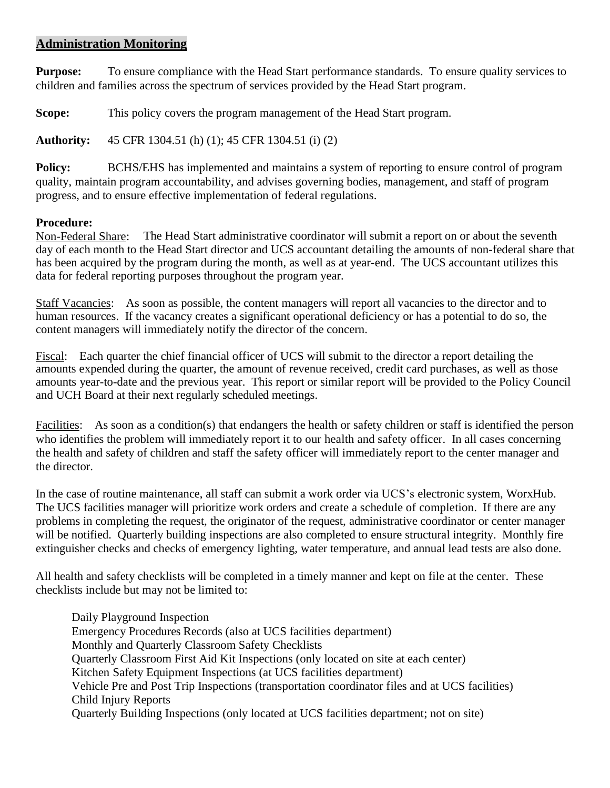#### **Administration Monitoring**

**Purpose:** To ensure compliance with the Head Start performance standards. To ensure quality services to children and families across the spectrum of services provided by the Head Start program.

**Scope:** This policy covers the program management of the Head Start program.

**Authority:** 45 CFR 1304.51 (h) (1); 45 CFR 1304.51 (i) (2)

**Policy:** BCHS/EHS has implemented and maintains a system of reporting to ensure control of program quality, maintain program accountability, and advises governing bodies, management, and staff of program progress, and to ensure effective implementation of federal regulations.

#### **Procedure:**

Non-Federal Share: The Head Start administrative coordinator will submit a report on or about the seventh day of each month to the Head Start director and UCS accountant detailing the amounts of non-federal share that has been acquired by the program during the month, as well as at year-end. The UCS accountant utilizes this data for federal reporting purposes throughout the program year.

Staff Vacancies: As soon as possible, the content managers will report all vacancies to the director and to human resources. If the vacancy creates a significant operational deficiency or has a potential to do so, the content managers will immediately notify the director of the concern.

Fiscal: Each quarter the chief financial officer of UCS will submit to the director a report detailing the amounts expended during the quarter, the amount of revenue received, credit card purchases, as well as those amounts year-to-date and the previous year. This report or similar report will be provided to the Policy Council and UCH Board at their next regularly scheduled meetings.

Facilities: As soon as a condition(s) that endangers the health or safety children or staff is identified the person who identifies the problem will immediately report it to our health and safety officer. In all cases concerning the health and safety of children and staff the safety officer will immediately report to the center manager and the director.

In the case of routine maintenance, all staff can submit a work order via UCS's electronic system, WorxHub. The UCS facilities manager will prioritize work orders and create a schedule of completion. If there are any problems in completing the request, the originator of the request, administrative coordinator or center manager will be notified. Quarterly building inspections are also completed to ensure structural integrity. Monthly fire extinguisher checks and checks of emergency lighting, water temperature, and annual lead tests are also done.

All health and safety checklists will be completed in a timely manner and kept on file at the center. These checklists include but may not be limited to:

Daily Playground Inspection Emergency Procedures Records (also at UCS facilities department) Monthly and Quarterly Classroom Safety Checklists Quarterly Classroom First Aid Kit Inspections (only located on site at each center) Kitchen Safety Equipment Inspections (at UCS facilities department) Vehicle Pre and Post Trip Inspections (transportation coordinator files and at UCS facilities) Child Injury Reports Quarterly Building Inspections (only located at UCS facilities department; not on site)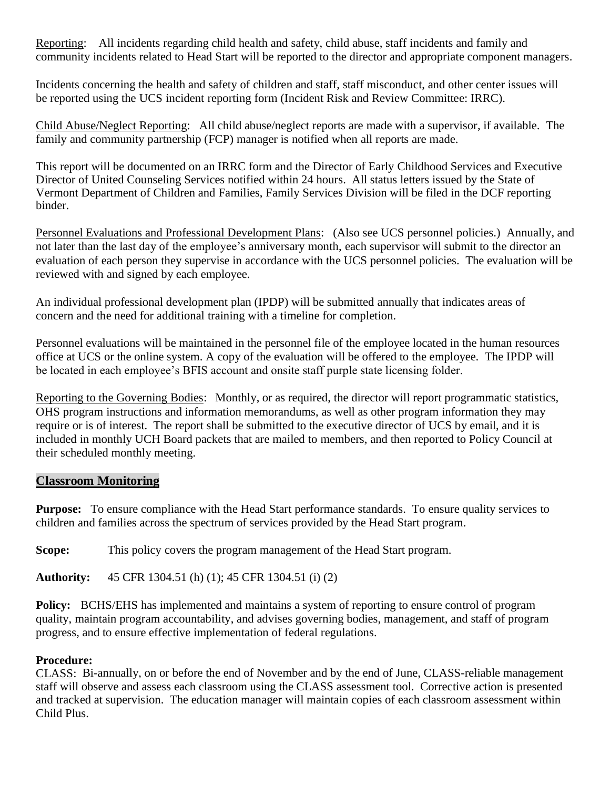Reporting: All incidents regarding child health and safety, child abuse, staff incidents and family and community incidents related to Head Start will be reported to the director and appropriate component managers.

Incidents concerning the health and safety of children and staff, staff misconduct, and other center issues will be reported using the UCS incident reporting form (Incident Risk and Review Committee: IRRC).

Child Abuse/Neglect Reporting: All child abuse/neglect reports are made with a supervisor, if available. The family and community partnership (FCP) manager is notified when all reports are made.

This report will be documented on an IRRC form and the Director of Early Childhood Services and Executive Director of United Counseling Services notified within 24 hours. All status letters issued by the State of Vermont Department of Children and Families, Family Services Division will be filed in the DCF reporting binder.

Personnel Evaluations and Professional Development Plans: (Also see UCS personnel policies.) Annually, and not later than the last day of the employee's anniversary month, each supervisor will submit to the director an evaluation of each person they supervise in accordance with the UCS personnel policies. The evaluation will be reviewed with and signed by each employee.

An individual professional development plan (IPDP) will be submitted annually that indicates areas of concern and the need for additional training with a timeline for completion.

Personnel evaluations will be maintained in the personnel file of the employee located in the human resources office at UCS or the online system. A copy of the evaluation will be offered to the employee. The IPDP will be located in each employee's BFIS account and onsite staff purple state licensing folder.

Reporting to the Governing Bodies: Monthly, or as required, the director will report programmatic statistics, OHS program instructions and information memorandums, as well as other program information they may require or is of interest. The report shall be submitted to the executive director of UCS by email, and it is included in monthly UCH Board packets that are mailed to members, and then reported to Policy Council at their scheduled monthly meeting.

#### **Classroom Monitoring**

**Purpose:** To ensure compliance with the Head Start performance standards. To ensure quality services to children and families across the spectrum of services provided by the Head Start program.

**Scope:** This policy covers the program management of the Head Start program.

**Authority:** 45 CFR 1304.51 (h) (1); 45 CFR 1304.51 (i) (2)

**Policy:** BCHS/EHS has implemented and maintains a system of reporting to ensure control of program quality, maintain program accountability, and advises governing bodies, management, and staff of program progress, and to ensure effective implementation of federal regulations.

#### **Procedure:**

CLASS: Bi-annually, on or before the end of November and by the end of June, CLASS-reliable management staff will observe and assess each classroom using the CLASS assessment tool. Corrective action is presented and tracked at supervision. The education manager will maintain copies of each classroom assessment within Child Plus.